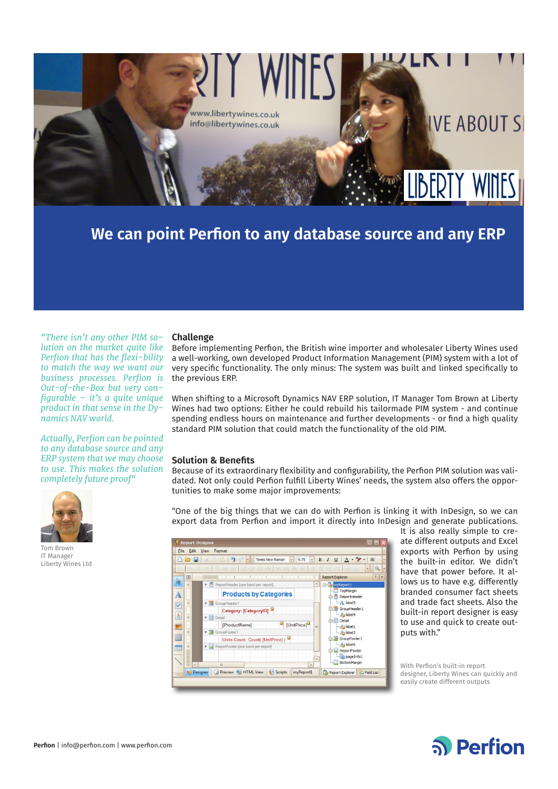

**We can point Perfion to any database source and any ERP**

*"There isn't any other PIM solution on the market quite like Perfion that has the flexi-bility to match the way we want our business processes. Perfion is Out-of-the-Box but very configurable – it's a quite unique product in that sense in the Dynamics NAV world.* 

*Actually, Perfion can be pointed to any database source and any ERP system that we may choose to use. This makes the solution completely future proof"*



Tom Brown IT Manager Liberty Wines Ltd

## **Challenge**

Before implementing Perfion, the British wine importer and wholesaler Liberty Wines used a well-working, own developed Product Information Management (PIM) system with a lot of very specific functionality. The only minus: The system was built and linked specifically to the previous ERP.

When shifting to a Microsoft Dynamics NAV ERP solution, IT Manager Tom Brown at Liberty Wines had two options: Either he could rebuild his tailormade PIM system - and continue spending endless hours on maintenance and further developments - or find a high quality standard PIM solution that could match the functionality of the old PIM.

### **Solution & Benefits**

Because of its extraordinary flexibility and configurability, the Perfion PIM solution was validated. Not only could Perfion fulfill Liberty Wines' needs, the system also offers the opportunities to make some major improvements:

"One of the big things that we can do with Perfion is linking it with InDesign, so we can export data from Perfion and import it directly into InDesign and generate publications.



It is also really simple to create different outputs and Excel exports with Perfion by using the built-in editor. We didn't have that power before. It allows us to have e.g. differently branded consumer fact sheets and trade fact sheets. Also the built-in report designer is easy to use and quick to create outputs with."

With Perfion's built-in report designer, Liberty Wines can quickly and easily create different outputs